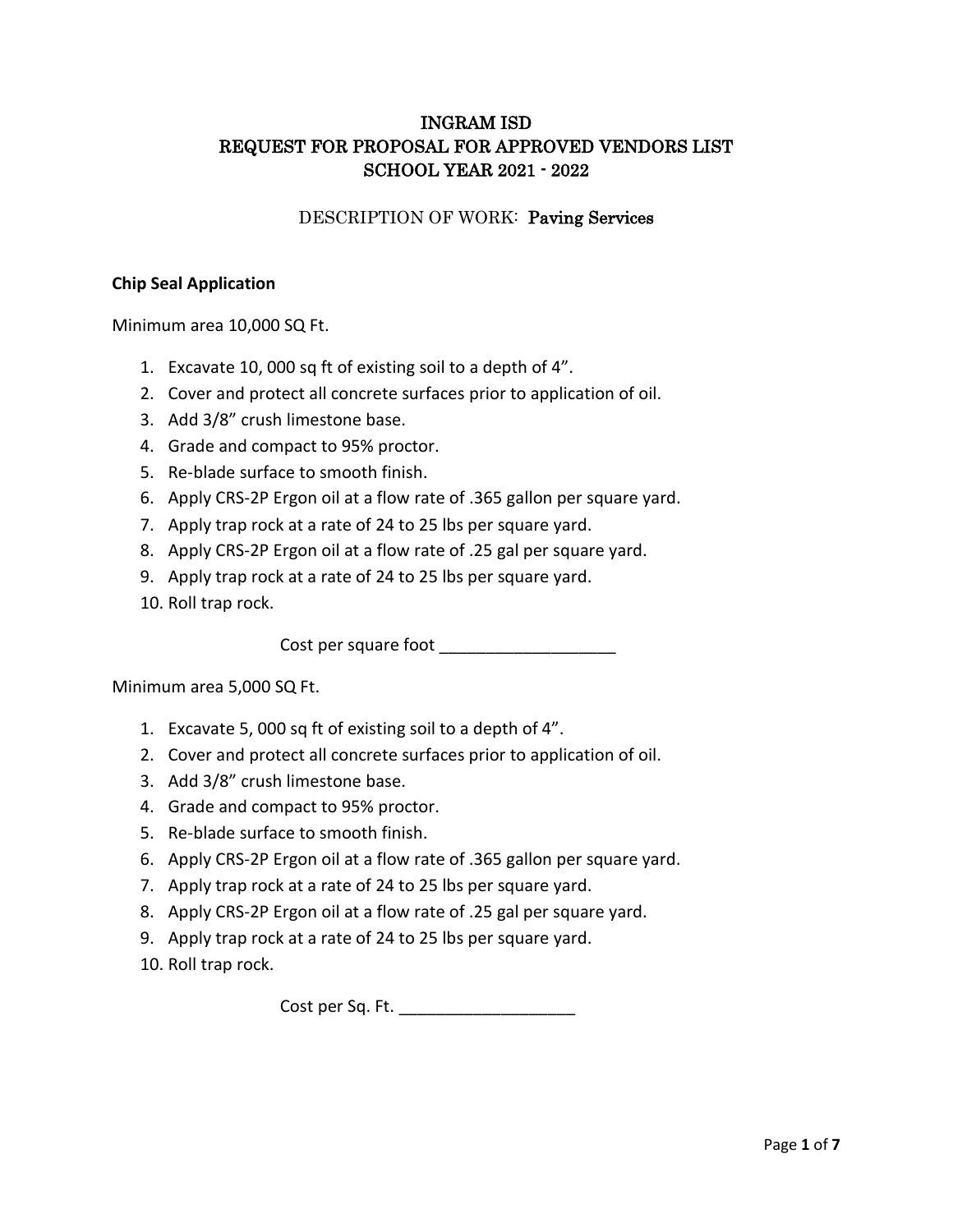# INGRAM ISD REQUEST FOR PROPOSAL FOR APPROVED VENDORS LIST SCHOOL YEAR 2021 - 2022

# DESCRIPTION OF WORK: Paving Services

# **Chip Seal Application**

Minimum area 10,000 SQ Ft.

- 1. Excavate 10, 000 sq ft of existing soil to a depth of 4".
- 2. Cover and protect all concrete surfaces prior to application of oil.
- 3. Add 3/8" crush limestone base.
- 4. Grade and compact to 95% proctor.
- 5. Re-blade surface to smooth finish.
- 6. Apply CRS-2P Ergon oil at a flow rate of .365 gallon per square yard.
- 7. Apply trap rock at a rate of 24 to 25 lbs per square yard.
- 8. Apply CRS-2P Ergon oil at a flow rate of .25 gal per square yard.
- 9. Apply trap rock at a rate of 24 to 25 lbs per square yard.
- 10. Roll trap rock.

Cost per square foot \_\_\_\_\_\_\_\_\_\_\_\_\_\_\_\_\_\_\_

Minimum area 5,000 SQ Ft.

- 1. Excavate 5, 000 sq ft of existing soil to a depth of 4".
- 2. Cover and protect all concrete surfaces prior to application of oil.
- 3. Add 3/8" crush limestone base.
- 4. Grade and compact to 95% proctor.
- 5. Re-blade surface to smooth finish.
- 6. Apply CRS-2P Ergon oil at a flow rate of .365 gallon per square yard.
- 7. Apply trap rock at a rate of 24 to 25 lbs per square yard.
- 8. Apply CRS-2P Ergon oil at a flow rate of .25 gal per square yard.
- 9. Apply trap rock at a rate of 24 to 25 lbs per square yard.
- 10. Roll trap rock.

Cost per Sq. Ft. \_\_\_\_\_\_\_\_\_\_\_\_\_\_\_\_\_\_\_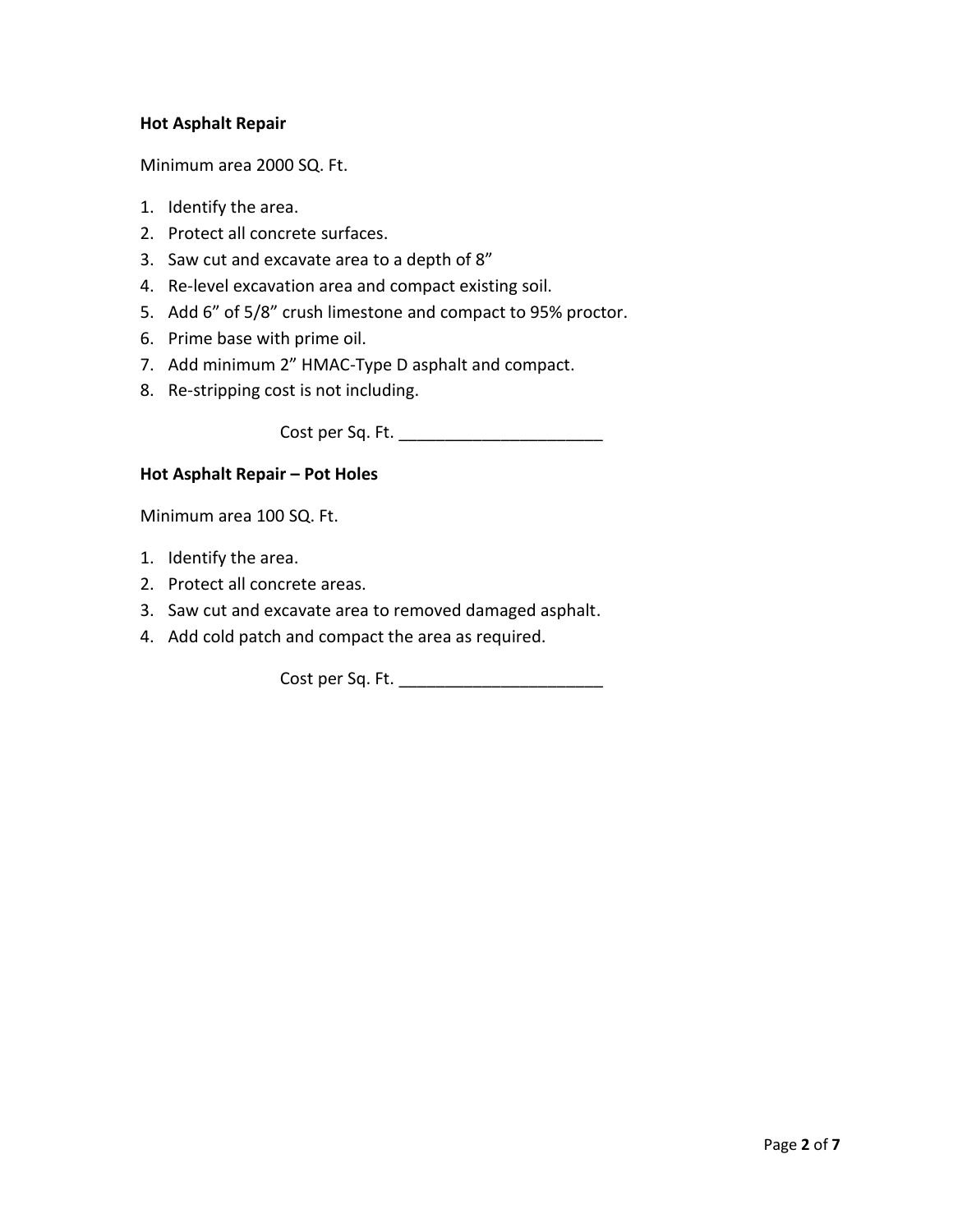# **Hot Asphalt Repair**

Minimum area 2000 SQ. Ft.

- 1. Identify the area.
- 2. Protect all concrete surfaces.
- 3. Saw cut and excavate area to a depth of 8"
- 4. Re-level excavation area and compact existing soil.
- 5. Add 6" of 5/8" crush limestone and compact to 95% proctor.
- 6. Prime base with prime oil.
- 7. Add minimum 2" HMAC-Type D asphalt and compact.
- 8. Re-stripping cost is not including.

Cost per Sq. Ft. \_\_\_\_\_\_\_\_\_\_\_\_\_\_\_\_\_\_\_\_\_\_

### **Hot Asphalt Repair – Pot Holes**

Minimum area 100 SQ. Ft.

- 1. Identify the area.
- 2. Protect all concrete areas.
- 3. Saw cut and excavate area to removed damaged asphalt.
- 4. Add cold patch and compact the area as required.

Cost per Sq. Ft. \_\_\_\_\_\_\_\_\_\_\_\_\_\_\_\_\_\_\_\_\_\_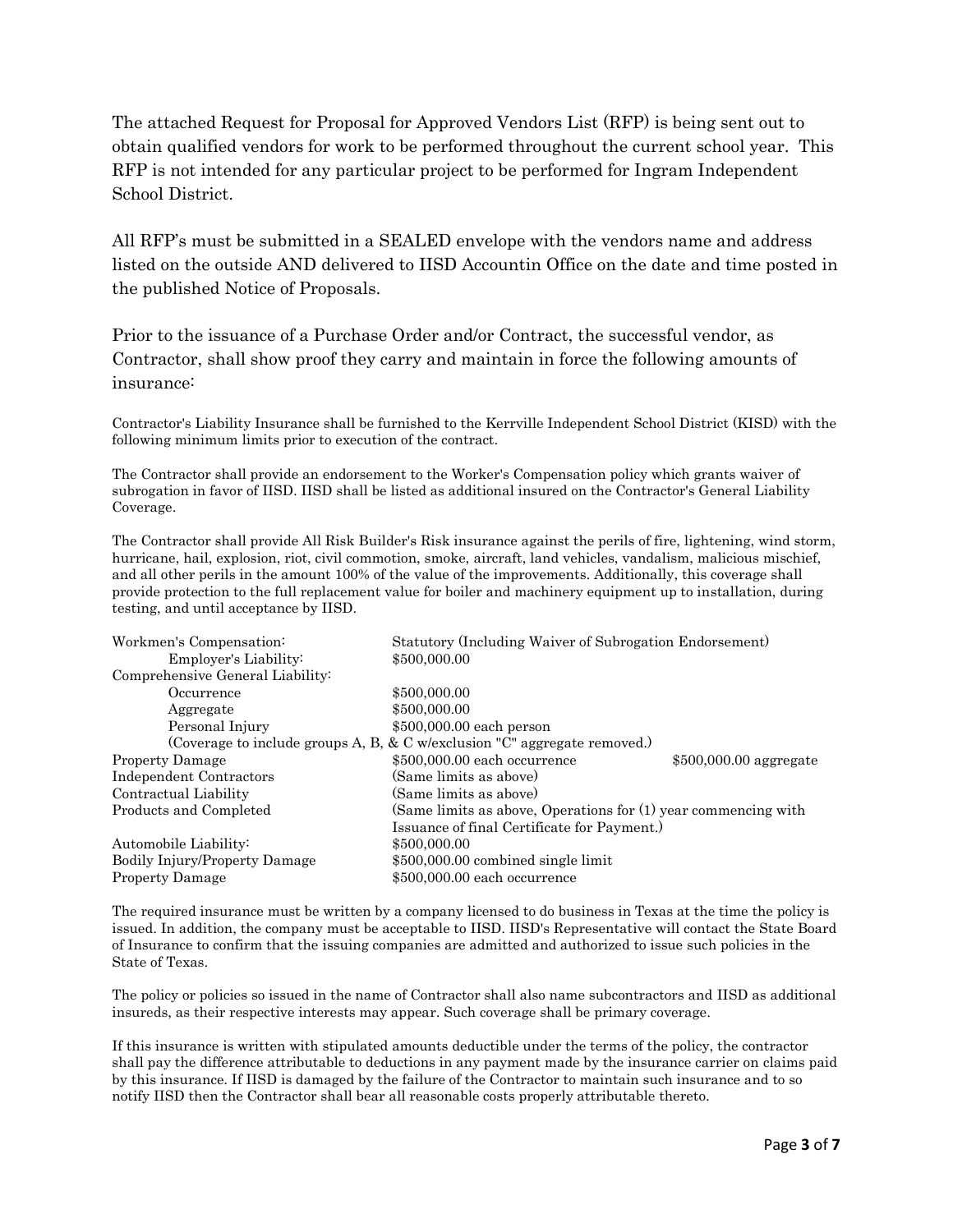The attached Request for Proposal for Approved Vendors List (RFP) is being sent out to obtain qualified vendors for work to be performed throughout the current school year. This RFP is not intended for any particular project to be performed for Ingram Independent School District.

All RFP's must be submitted in a SEALED envelope with the vendors name and address listed on the outside AND delivered to IISD Accountin Office on the date and time posted in the published Notice of Proposals.

Prior to the issuance of a Purchase Order and/or Contract, the successful vendor, as Contractor, shall show proof they carry and maintain in force the following amounts of insurance:

Contractor's Liability Insurance shall be furnished to the Kerrville Independent School District (KISD) with the following minimum limits prior to execution of the contract.

The Contractor shall provide an endorsement to the Worker's Compensation policy which grants waiver of subrogation in favor of IISD. IISD shall be listed as additional insured on the Contractor's General Liability Coverage.

The Contractor shall provide All Risk Builder's Risk insurance against the perils of fire, lightening, wind storm, hurricane, hail, explosion, riot, civil commotion, smoke, aircraft, land vehicles, vandalism, malicious mischief, and all other perils in the amount 100% of the value of the improvements. Additionally, this coverage shall provide protection to the full replacement value for boiler and machinery equipment up to installation, during testing, and until acceptance by IISD.

| Workmen's Compensation:                                                   | Statutory (Including Waiver of Subrogation Endorsement)        |                         |
|---------------------------------------------------------------------------|----------------------------------------------------------------|-------------------------|
| Employer's Liability:                                                     | \$500,000.00                                                   |                         |
| Comprehensive General Liability:                                          |                                                                |                         |
| Occurrence                                                                | \$500,000.00                                                   |                         |
| Aggregate                                                                 | \$500,000.00                                                   |                         |
| Personal Injury                                                           | \$500,000.00 each person                                       |                         |
| (Coverage to include groups A, B, & C w/exclusion "C" aggregate removed.) |                                                                |                         |
| <b>Property Damage</b>                                                    | \$500,000.00 each occurrence                                   | $$500,000.00$ aggregate |
| <b>Independent Contractors</b>                                            | (Same limits as above)                                         |                         |
| Contractual Liability                                                     | (Same limits as above)                                         |                         |
| Products and Completed                                                    | (Same limits as above, Operations for (1) year commencing with |                         |
|                                                                           | Issuance of final Certificate for Payment.)                    |                         |
| Automobile Liability:                                                     | \$500,000.00                                                   |                         |
| <b>Bodily Injury/Property Damage</b>                                      | $$500,000.00$ combined single limit                            |                         |
| <b>Property Damage</b>                                                    | \$500,000.00 each occurrence                                   |                         |

The required insurance must be written by a company licensed to do business in Texas at the time the policy is issued. In addition, the company must be acceptable to IISD. IISD's Representative will contact the State Board of Insurance to confirm that the issuing companies are admitted and authorized to issue such policies in the State of Texas.

The policy or policies so issued in the name of Contractor shall also name subcontractors and IISD as additional insureds, as their respective interests may appear. Such coverage shall be primary coverage.

If this insurance is written with stipulated amounts deductible under the terms of the policy, the contractor shall pay the difference attributable to deductions in any payment made by the insurance carrier on claims paid by this insurance. If IISD is damaged by the failure of the Contractor to maintain such insurance and to so notify IISD then the Contractor shall bear all reasonable costs properly attributable thereto.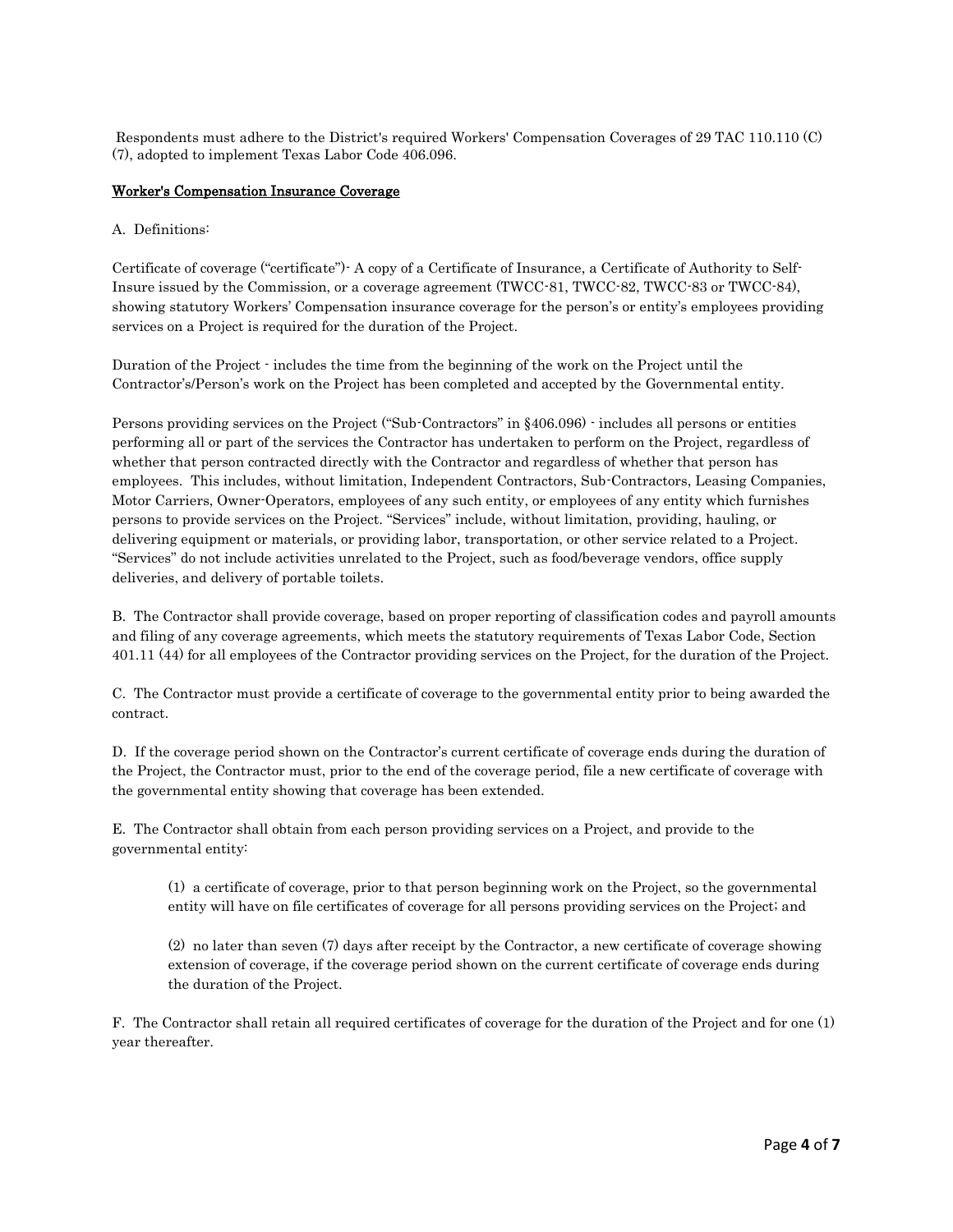Respondents must adhere to the District's required Workers' Compensation Coverages of 29 TAC 110.110 (C) (7), adopted to implement Texas Labor Code 406.096.

#### Worker's Compensation Insurance Coverage

#### A. Definitions:

Certificate of coverage ("certificate")- A copy of a Certificate of Insurance, a Certificate of Authority to Self-Insure issued by the Commission, or a coverage agreement (TWCC-81, TWCC-82, TWCC-83 or TWCC-84), showing statutory Workers' Compensation insurance coverage for the person's or entity's employees providing services on a Project is required for the duration of the Project.

Duration of the Project - includes the time from the beginning of the work on the Project until the Contractor's/Person's work on the Project has been completed and accepted by the Governmental entity.

Persons providing services on the Project ("Sub-Contractors" in §406.096) - includes all persons or entities performing all or part of the services the Contractor has undertaken to perform on the Project, regardless of whether that person contracted directly with the Contractor and regardless of whether that person has employees. This includes, without limitation, Independent Contractors, Sub-Contractors, Leasing Companies, Motor Carriers, Owner-Operators, employees of any such entity, or employees of any entity which furnishes persons to provide services on the Project. "Services" include, without limitation, providing, hauling, or delivering equipment or materials, or providing labor, transportation, or other service related to a Project. "Services" do not include activities unrelated to the Project, such as food/beverage vendors, office supply deliveries, and delivery of portable toilets.

B. The Contractor shall provide coverage, based on proper reporting of classification codes and payroll amounts and filing of any coverage agreements, which meets the statutory requirements of Texas Labor Code, Section 401.11 (44) for all employees of the Contractor providing services on the Project, for the duration of the Project.

C. The Contractor must provide a certificate of coverage to the governmental entity prior to being awarded the contract.

D. If the coverage period shown on the Contractor's current certificate of coverage ends during the duration of the Project, the Contractor must, prior to the end of the coverage period, file a new certificate of coverage with the governmental entity showing that coverage has been extended.

E. The Contractor shall obtain from each person providing services on a Project, and provide to the governmental entity:

(1) a certificate of coverage, prior to that person beginning work on the Project, so the governmental entity will have on file certificates of coverage for all persons providing services on the Project; and

(2) no later than seven (7) days after receipt by the Contractor, a new certificate of coverage showing extension of coverage, if the coverage period shown on the current certificate of coverage ends during the duration of the Project.

F. The Contractor shall retain all required certificates of coverage for the duration of the Project and for one (1) year thereafter.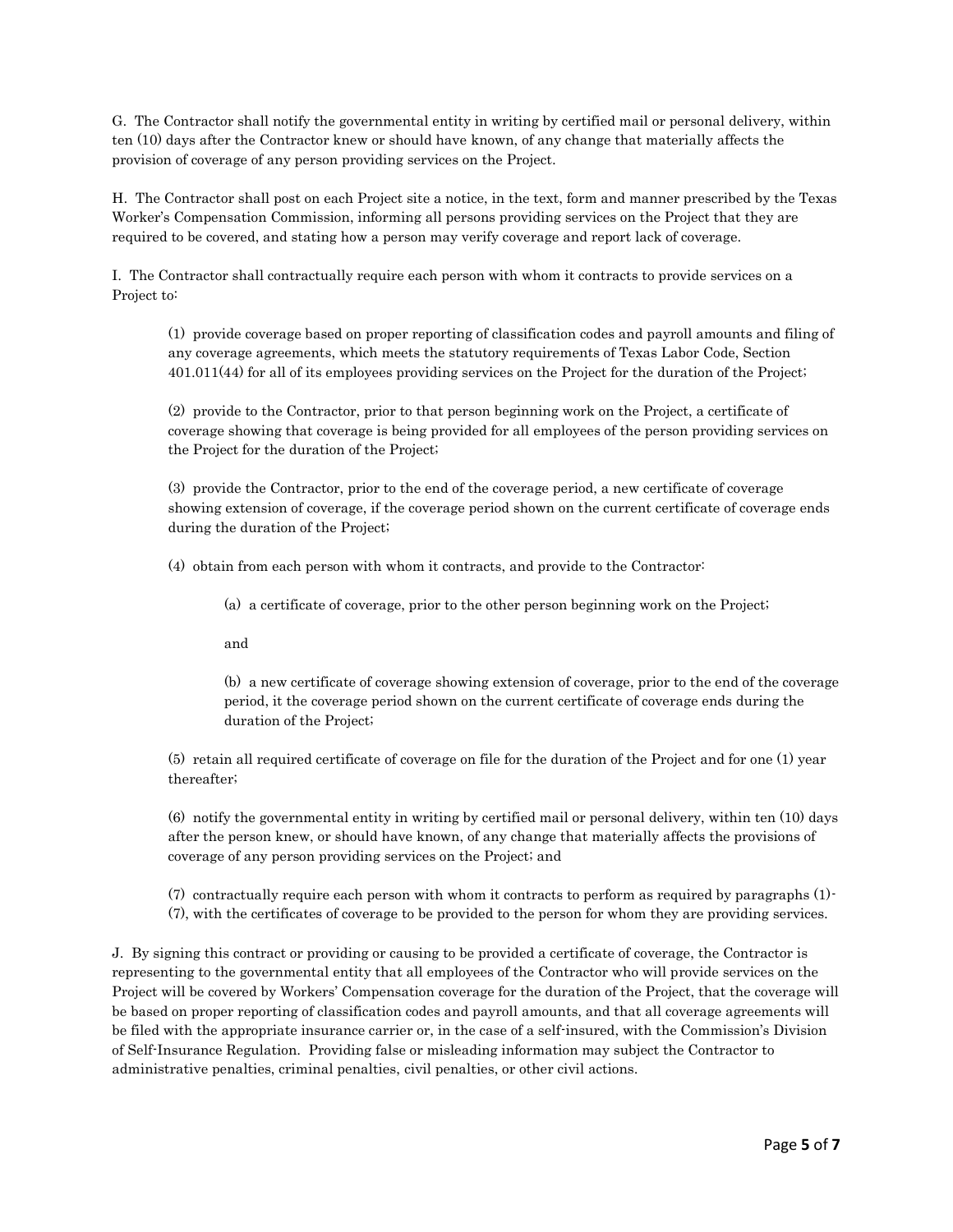G. The Contractor shall notify the governmental entity in writing by certified mail or personal delivery, within ten (10) days after the Contractor knew or should have known, of any change that materially affects the provision of coverage of any person providing services on the Project.

H. The Contractor shall post on each Project site a notice, in the text, form and manner prescribed by the Texas Worker's Compensation Commission, informing all persons providing services on the Project that they are required to be covered, and stating how a person may verify coverage and report lack of coverage.

I. The Contractor shall contractually require each person with whom it contracts to provide services on a Project to:

(1) provide coverage based on proper reporting of classification codes and payroll amounts and filing of any coverage agreements, which meets the statutory requirements of Texas Labor Code, Section 401.011(44) for all of its employees providing services on the Project for the duration of the Project;

(2) provide to the Contractor, prior to that person beginning work on the Project, a certificate of coverage showing that coverage is being provided for all employees of the person providing services on the Project for the duration of the Project;

(3) provide the Contractor, prior to the end of the coverage period, a new certificate of coverage showing extension of coverage, if the coverage period shown on the current certificate of coverage ends during the duration of the Project;

(4) obtain from each person with whom it contracts, and provide to the Contractor:

(a) a certificate of coverage, prior to the other person beginning work on the Project;

and

(b) a new certificate of coverage showing extension of coverage, prior to the end of the coverage period, it the coverage period shown on the current certificate of coverage ends during the duration of the Project;

(5) retain all required certificate of coverage on file for the duration of the Project and for one (1) year thereafter;

(6) notify the governmental entity in writing by certified mail or personal delivery, within ten (10) days after the person knew, or should have known, of any change that materially affects the provisions of coverage of any person providing services on the Project; and

(7) contractually require each person with whom it contracts to perform as required by paragraphs (1)- (7), with the certificates of coverage to be provided to the person for whom they are providing services.

J. By signing this contract or providing or causing to be provided a certificate of coverage, the Contractor is representing to the governmental entity that all employees of the Contractor who will provide services on the Project will be covered by Workers' Compensation coverage for the duration of the Project, that the coverage will be based on proper reporting of classification codes and payroll amounts, and that all coverage agreements will be filed with the appropriate insurance carrier or, in the case of a self-insured, with the Commission's Division of Self-Insurance Regulation. Providing false or misleading information may subject the Contractor to administrative penalties, criminal penalties, civil penalties, or other civil actions.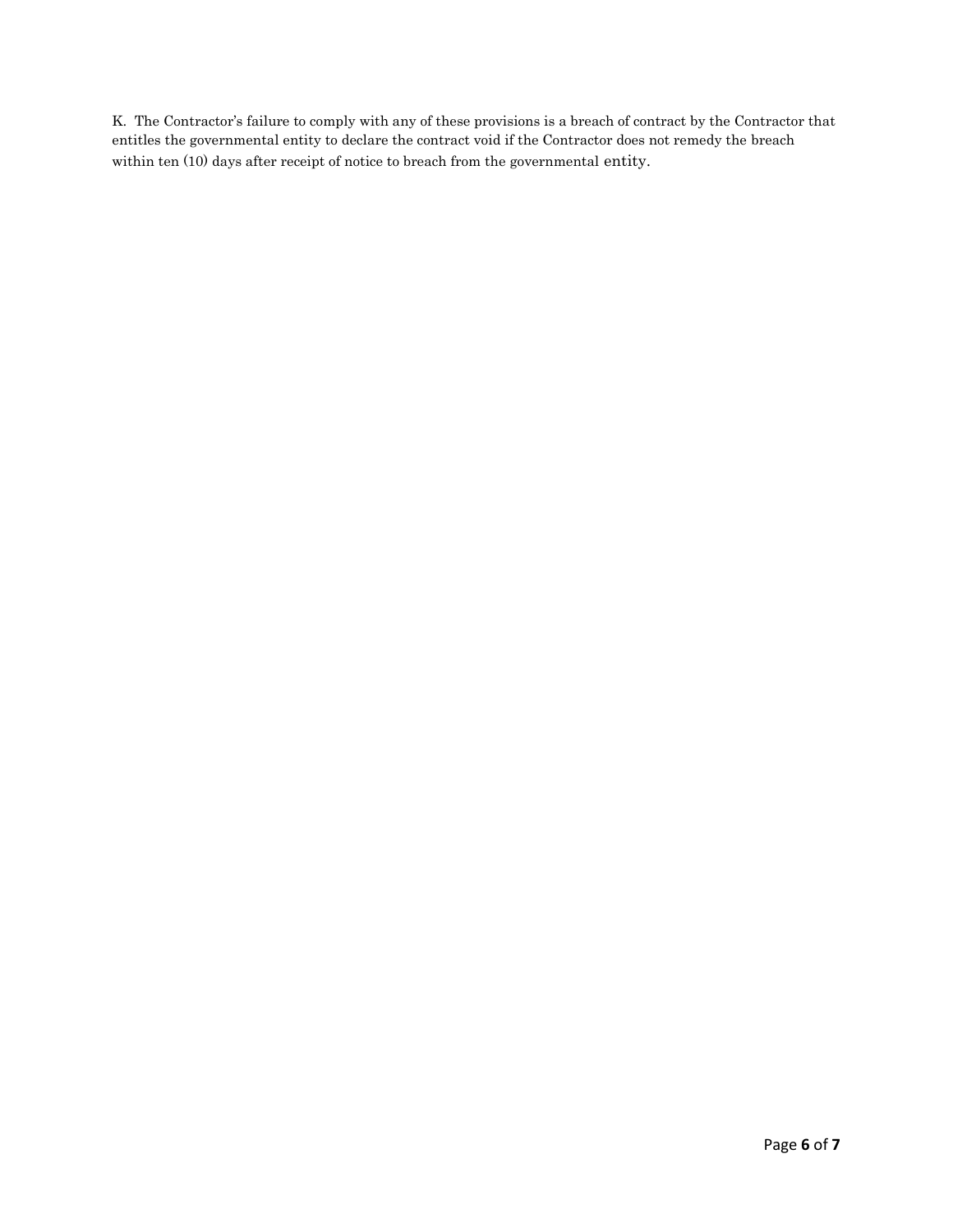K. The Contractor's failure to comply with any of these provisions is a breach of contract by the Contractor that entitles the governmental entity to declare the contract void if the Contractor does not remedy the breach within ten (10) days after receipt of notice to breach from the governmental entity.